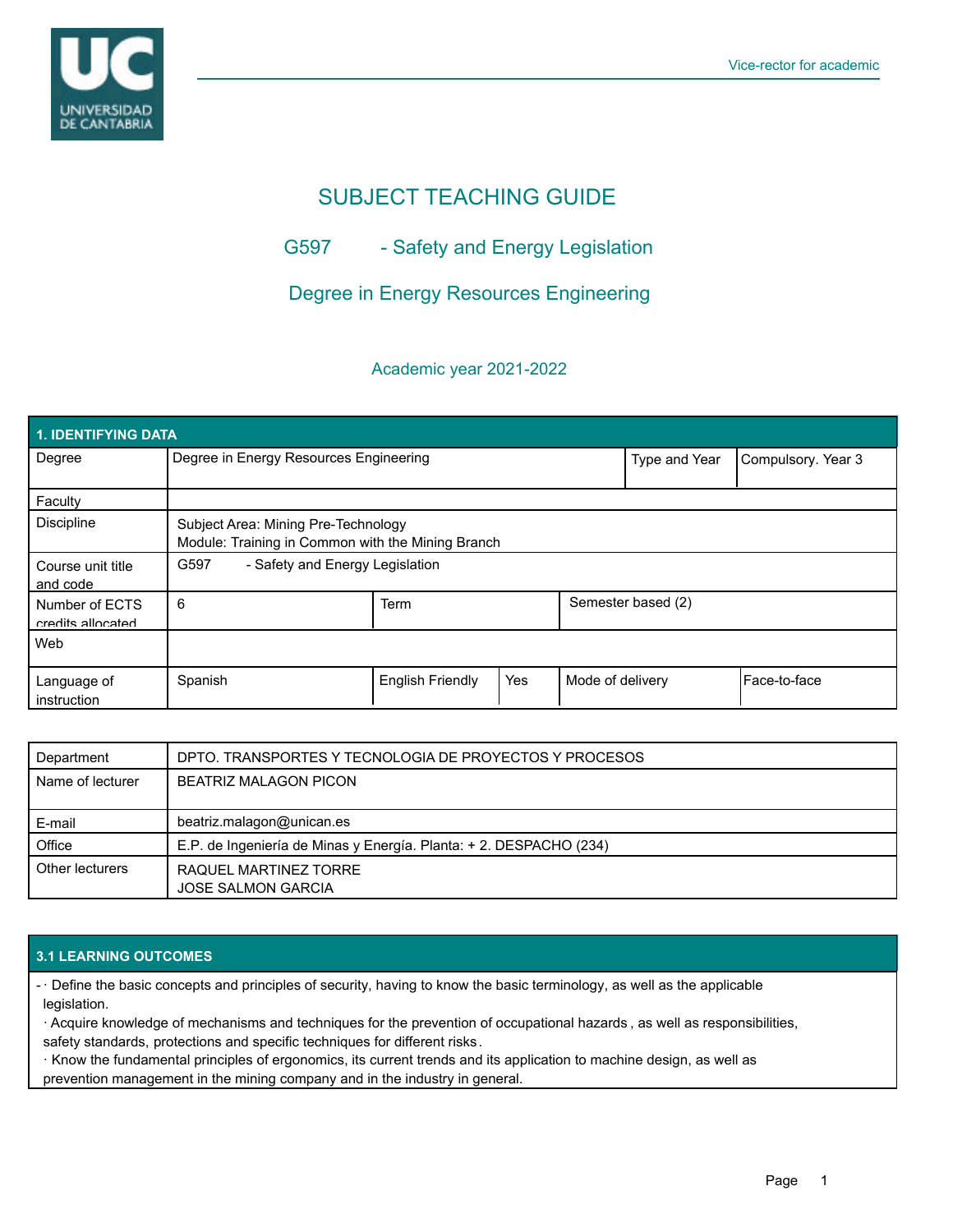

# SUBJECT TEACHING GUIDE

# G597 - Safety and Energy Legislation

# Degree in Energy Resources Engineering

# Academic year 2021-2022

| <b>1. IDENTIFYING DATA</b>          |                                                                                          |                         |     |                  |                    |              |  |  |  |
|-------------------------------------|------------------------------------------------------------------------------------------|-------------------------|-----|------------------|--------------------|--------------|--|--|--|
| Degree                              | Degree in Energy Resources Engineering                                                   |                         |     | Type and Year    | Compulsory. Year 3 |              |  |  |  |
| Faculty                             |                                                                                          |                         |     |                  |                    |              |  |  |  |
| <b>Discipline</b>                   | Subject Area: Mining Pre-Technology<br>Module: Training in Common with the Mining Branch |                         |     |                  |                    |              |  |  |  |
| Course unit title<br>and code       | G597<br>- Safety and Energy Legislation                                                  |                         |     |                  |                    |              |  |  |  |
| Number of ECTS<br>credits allocated | 6                                                                                        | Term                    |     |                  | Semester based (2) |              |  |  |  |
| Web                                 |                                                                                          |                         |     |                  |                    |              |  |  |  |
| Language of<br>instruction          | Spanish                                                                                  | <b>English Friendly</b> | Yes | Mode of delivery |                    | Face-to-face |  |  |  |

| Department       | DPTO. TRANSPORTES Y TECNOLOGIA DE PROYECTOS Y PROCESOS             |
|------------------|--------------------------------------------------------------------|
| Name of lecturer | <b>BEATRIZ MALAGON PICON</b>                                       |
|                  |                                                                    |
| E-mail           | beatriz.malagon@unican.es                                          |
| Office           | E.P. de Ingeniería de Minas y Energía. Planta: + 2. DESPACHO (234) |
| Other lecturers  | RAQUEL MARTINEZ TORRE<br><b>JOSE SALMON GARCIA</b>                 |

## **3.1 LEARNING OUTCOMES**

· Define the basic concepts and principles of security, having to know the basic terminology, as well as the applicable legislation.

· Acquire knowledge of mechanisms and techniques for the prevention of occupational hazards , as well as responsibilities, safety standards, protections and specific techniques for different risks.

· Know the fundamental principles of ergonomics, its current trends and its application to machine design, as well as prevention management in the mining company and in the industry in general.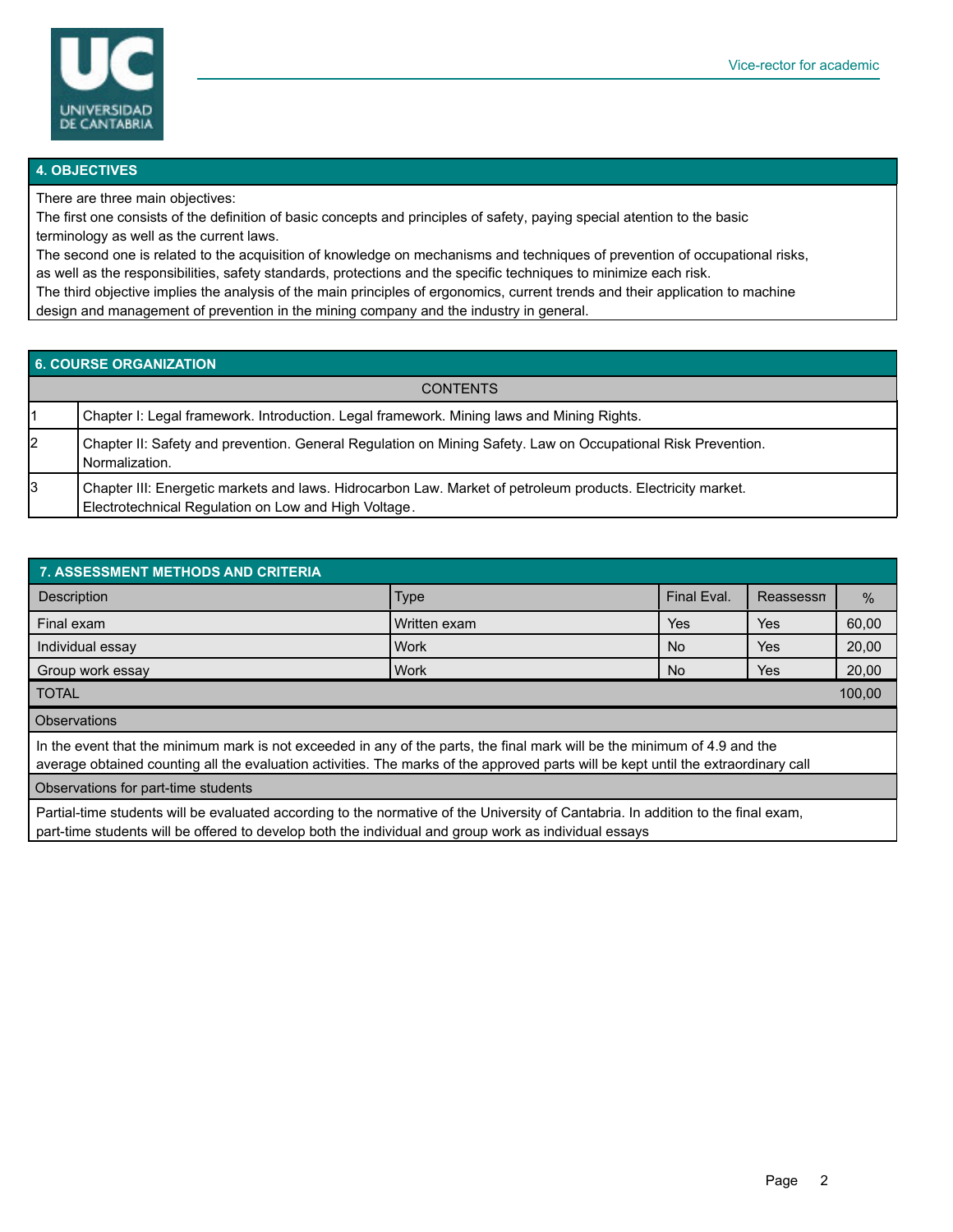

#### **4. OBJECTIVES**

There are three main objectives:

The first one consists of the definition of basic concepts and principles of safety, paying special atention to the basic terminology as well as the current laws.

The second one is related to the acquisition of knowledge on mechanisms and techniques of prevention of occupational risks, as well as the responsibilities, safety standards, protections and the specific techniques to minimize each risk.

The third objective implies the analysis of the main principles of ergonomics, current trends and their application to machine design and management of prevention in the mining company and the industry in general.

### **6. COURSE ORGANIZATION**

|    | <b>CONTENTS</b>                                                                                                                                                     |
|----|---------------------------------------------------------------------------------------------------------------------------------------------------------------------|
|    | Chapter I: Legal framework. Introduction. Legal framework. Mining laws and Mining Rights.                                                                           |
| 2  | Chapter II: Safety and prevention. General Regulation on Mining Safety. Law on Occupational Risk Prevention.<br>Normalization.                                      |
| l3 | Chapter III: Energetic markets and laws. Hidrocarbon Law. Market of petroleum products. Electricity market.<br>Electrotechnical Regulation on Low and High Voltage. |

| 7. ASSESSMENT METHODS AND CRITERIA                                                                                                                                                                                                                              |              |             |           |       |  |  |  |  |
|-----------------------------------------------------------------------------------------------------------------------------------------------------------------------------------------------------------------------------------------------------------------|--------------|-------------|-----------|-------|--|--|--|--|
| <b>Description</b>                                                                                                                                                                                                                                              | <b>Type</b>  | Final Eval. | Reassessn | $\%$  |  |  |  |  |
| Final exam                                                                                                                                                                                                                                                      | Written exam | Yes         | Yes.      | 60,00 |  |  |  |  |
| Individual essay                                                                                                                                                                                                                                                | <b>Work</b>  | No.         | Yes.      | 20,00 |  |  |  |  |
| Group work essay                                                                                                                                                                                                                                                | l Work       | No.         | Yes       | 20,00 |  |  |  |  |
| I TOTAL<br>100,00                                                                                                                                                                                                                                               |              |             |           |       |  |  |  |  |
| <b>Observations</b>                                                                                                                                                                                                                                             |              |             |           |       |  |  |  |  |
| In the event that the minimum mark is not exceeded in any of the parts, the final mark will be the minimum of 4.9 and the<br>average obtained counting all the evaluation activities. The marks of the approved parts will be kept until the extraordinary call |              |             |           |       |  |  |  |  |
| Observations for part-time students                                                                                                                                                                                                                             |              |             |           |       |  |  |  |  |
| Partial-time students will be evaluated according to the normative of the University of Cantabria. In addition to the final exam,<br>part-time students will be offered to develop both the individual and group work as individual essays                      |              |             |           |       |  |  |  |  |